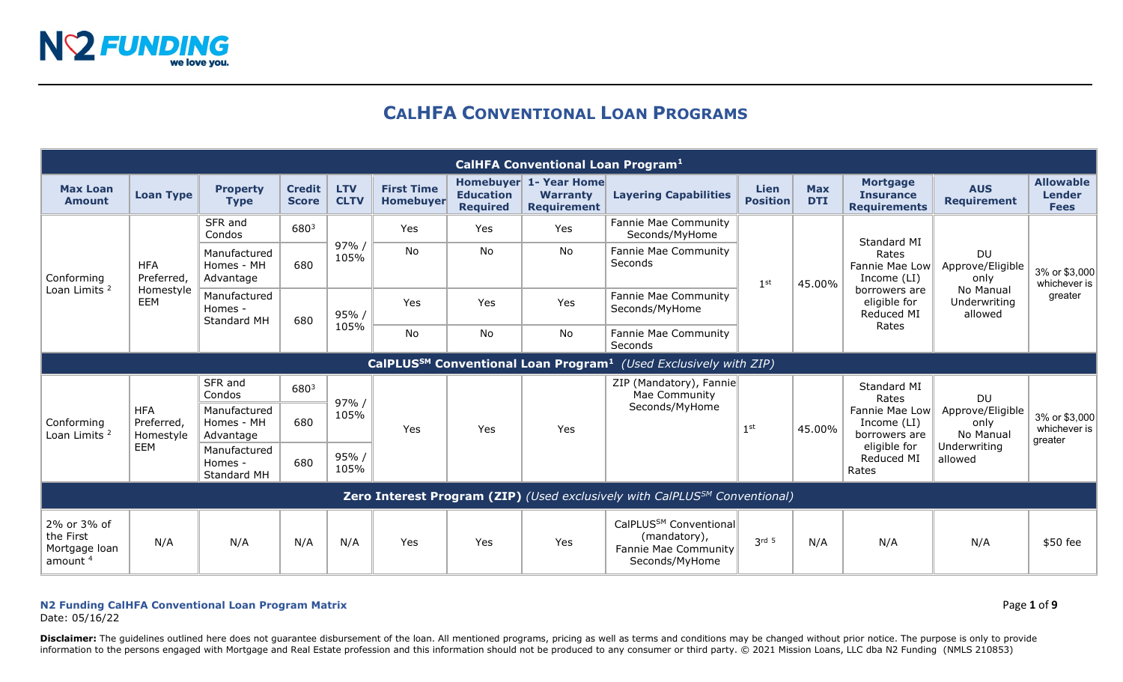

# **CALHFA CONVENTIONAL LOAN PROGRAMS**

|                                                                                        |                                                                                          |                                         |                               |                           |                                       |                                     | <b>CalHFA Conventional Loan Program1</b>                        |                                                                                              |                           |                          |                                                                                                               |                                                                               |                                                  |
|----------------------------------------------------------------------------------------|------------------------------------------------------------------------------------------|-----------------------------------------|-------------------------------|---------------------------|---------------------------------------|-------------------------------------|-----------------------------------------------------------------|----------------------------------------------------------------------------------------------|---------------------------|--------------------------|---------------------------------------------------------------------------------------------------------------|-------------------------------------------------------------------------------|--------------------------------------------------|
| <b>Max Loan</b><br><b>Amount</b>                                                       | <b>Loan Type</b>                                                                         | <b>Property</b><br><b>Type</b>          | <b>Credit</b><br><b>Score</b> | <b>LTV</b><br><b>CLTV</b> | <b>First Time</b><br><b>Homebuyer</b> | <b>Education</b><br><b>Required</b> | Homebuyer 1- Year Home<br><b>Warranty</b><br><b>Requirement</b> | <b>Layering Capabilities</b>                                                                 | Lien<br><b>Position</b>   | <b>Max</b><br><b>DTI</b> | <b>Mortgage</b><br><b>Insurance</b><br><b>Requirements</b>                                                    | <b>AUS</b><br><b>Requirement</b>                                              | <b>Allowable</b><br><b>Lender</b><br><b>Fees</b> |
| Conforming<br>Loan Limits <sup>2</sup>                                                 | <b>HFA</b><br>Preferred,<br>Homestyle<br><b>EEM</b>                                      | SFR and<br>Condos                       | 6803                          |                           | Yes                                   | Yes                                 | Yes                                                             | Fannie Mae Community<br>Seconds/MyHome                                                       | 1 <sup>st</sup><br>45.00% |                          | Standard MI<br>Rates<br>Fannie Mae Low<br>Income (LI)<br>borrowers are<br>eligible for<br>Reduced MI<br>Rates | <b>DU</b><br>Approve/Eligible<br>only<br>No Manual<br>Underwriting<br>allowed | 3% or \$3,000<br>whichever is<br>greater         |
|                                                                                        |                                                                                          | Manufactured<br>Homes - MH<br>Advantage | 680                           | 97%/<br>105%              | <b>No</b>                             | <b>No</b>                           | No                                                              | Fannie Mae Community<br>Seconds                                                              |                           |                          |                                                                                                               |                                                                               |                                                  |
|                                                                                        |                                                                                          | Manufactured<br>Homes -<br>Standard MH  | 680                           | 95% /                     | Yes                                   | Yes                                 | Yes                                                             | Fannie Mae Community<br>Seconds/MyHome                                                       |                           |                          |                                                                                                               |                                                                               |                                                  |
|                                                                                        |                                                                                          |                                         |                               | 105%                      | No                                    | No                                  | No                                                              | Fannie Mae Community<br>Seconds                                                              |                           |                          |                                                                                                               |                                                                               |                                                  |
|                                                                                        | CalPLUS <sup>SM</sup> Conventional Loan Program <sup>1</sup> (Used Exclusively with ZIP) |                                         |                               |                           |                                       |                                     |                                                                 |                                                                                              |                           |                          |                                                                                                               |                                                                               |                                                  |
|                                                                                        | <b>HFA</b><br>Preferred,<br>Homestyle<br><b>EEM</b>                                      | SFR and<br>Condos                       | 6803                          | 97% /<br>105%             | Yes                                   | Yes                                 | Yes                                                             | ZIP (Mandatory), Fannie<br>Mae Community                                                     |                           |                          | Standard MI<br>Rates                                                                                          | <b>DU</b>                                                                     |                                                  |
| Conforming<br>Loan Limits <sup>2</sup>                                                 |                                                                                          | Manufactured<br>Homes - MH<br>Advantage | 680                           |                           |                                       |                                     |                                                                 | Seconds/MyHome                                                                               | 1 <sup>st</sup>           | 45.00%                   | Fannie Mae Low<br>Income (LI)<br>borrowers are<br>eligible for<br>Reduced MI<br>Rates                         | Approve/Eligible<br>only<br>No Manual<br>Underwriting<br>allowed              | 3% or \$3,000<br>whichever is<br>greater         |
|                                                                                        |                                                                                          | Manufactured<br>Homes -<br>Standard MH  | 680                           | 95%/<br>105%              |                                       |                                     |                                                                 |                                                                                              |                           |                          |                                                                                                               |                                                                               |                                                  |
| Zero Interest Program (ZIP) (Used exclusively with CalPLUS <sup>SM</sup> Conventional) |                                                                                          |                                         |                               |                           |                                       |                                     |                                                                 |                                                                                              |                           |                          |                                                                                                               |                                                                               |                                                  |
| 2% or 3% of<br>the First<br>Mortgage loan<br>amount <sup>4</sup>                       | N/A                                                                                      | N/A                                     | N/A                           | N/A                       | Yes                                   | Yes                                 | Yes                                                             | CalPLUS <sup>SM</sup> Conventional<br>(mandatory),<br>Fannie Mae Community<br>Seconds/MyHome | 2rd <sub>5</sub>          | N/A                      | N/A                                                                                                           | N/A                                                                           | \$50 fee                                         |

## **N2 Funding CalHFA Conventional Loan Program Matrix** Page **1** of **9**

Date: 05/16/22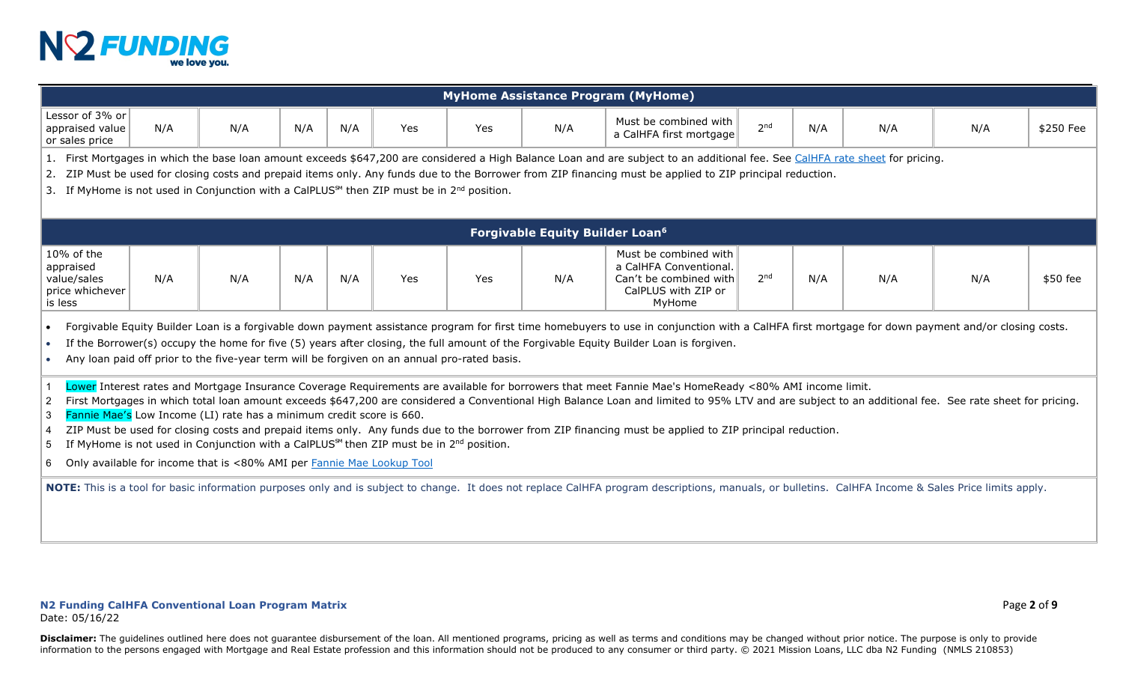

|                                                                      | <b>MyHome Assistance Program (MyHome)</b>                                                                                                                                                                                                                                                                                                                                                                                                                                                                                                                                                                                                                                                                                                                                           |     |     |     |            |     |                                                   |                                                                                                                                                                                                      |                 |     |     |     |           |
|----------------------------------------------------------------------|-------------------------------------------------------------------------------------------------------------------------------------------------------------------------------------------------------------------------------------------------------------------------------------------------------------------------------------------------------------------------------------------------------------------------------------------------------------------------------------------------------------------------------------------------------------------------------------------------------------------------------------------------------------------------------------------------------------------------------------------------------------------------------------|-----|-----|-----|------------|-----|---------------------------------------------------|------------------------------------------------------------------------------------------------------------------------------------------------------------------------------------------------------|-----------------|-----|-----|-----|-----------|
| Lessor of 3% or<br>appraised value<br>or sales price                 | N/A                                                                                                                                                                                                                                                                                                                                                                                                                                                                                                                                                                                                                                                                                                                                                                                 | N/A | N/A | N/A | <b>Yes</b> | Yes | N/A                                               | Must be combined with<br>a CalHFA first mortgage                                                                                                                                                     | 2 <sub>nd</sub> | N/A | N/A | N/A | \$250 Fee |
|                                                                      | 1. First Mortgages in which the base loan amount exceeds \$647,200 are considered a High Balance Loan and are subject to an additional fee. See CalHFA rate sheet for pricing.<br>2. ZIP Must be used for closing costs and prepaid items only. Any funds due to the Borrower from ZIP financing must be applied to ZIP principal reduction.<br>3. If MyHome is not used in Conjunction with a CalPLUS <sup>SM</sup> then ZIP must be in 2 <sup>nd</sup> position.                                                                                                                                                                                                                                                                                                                  |     |     |     |            |     |                                                   |                                                                                                                                                                                                      |                 |     |     |     |           |
|                                                                      |                                                                                                                                                                                                                                                                                                                                                                                                                                                                                                                                                                                                                                                                                                                                                                                     |     |     |     |            |     | <b>Forgivable Equity Builder Loan<sup>6</sup></b> |                                                                                                                                                                                                      |                 |     |     |     |           |
| 10% of the<br>appraised<br>value/sales<br>price whichever<br>is less | N/A                                                                                                                                                                                                                                                                                                                                                                                                                                                                                                                                                                                                                                                                                                                                                                                 | N/A | N/A | N/A | Yes        | Yes | N/A                                               | Must be combined with<br>a CalHFA Conventional.<br>Can't be combined with<br>CalPLUS with ZIP or<br>MyHome                                                                                           | 2 <sub>nd</sub> | N/A | N/A | N/A | \$50 fee  |
| $\bullet$<br>$\bullet$                                               | Forgivable Equity Builder Loan is a forgivable down payment assistance program for first time homebuyers to use in conjunction with a CalHFA first mortgage for down payment and/or closing costs.<br>If the Borrower(s) occupy the home for five (5) years after closing, the full amount of the Forgivable Equity Builder Loan is forgiven.<br>Any loan paid off prior to the five-year term will be forgiven on an annual pro-rated basis.                                                                                                                                                                                                                                                                                                                                       |     |     |     |            |     |                                                   |                                                                                                                                                                                                      |                 |     |     |     |           |
| $\overline{2}$<br>-3<br>4<br>-5<br>6                                 | Lower Interest rates and Mortgage Insurance Coverage Requirements are available for borrowers that meet Fannie Mae's HomeReady <80% AMI income limit.<br>First Mortgages in which total loan amount exceeds \$647,200 are considered a Conventional High Balance Loan and limited to 95% LTV and are subject to an additional fee. See rate sheet for pricing.<br>Fannie Mae's Low Income (LI) rate has a minimum credit score is 660.<br>ZIP Must be used for closing costs and prepaid items only. Any funds due to the borrower from ZIP financing must be applied to ZIP principal reduction.<br>If MyHome is not used in Conjunction with a CalPLUS <sup>5M</sup> then ZIP must be in $2nd$ position.<br>Only available for income that is <80% AMI per Fannie Mae Lookup Tool |     |     |     |            |     |                                                   |                                                                                                                                                                                                      |                 |     |     |     |           |
|                                                                      |                                                                                                                                                                                                                                                                                                                                                                                                                                                                                                                                                                                                                                                                                                                                                                                     |     |     |     |            |     |                                                   | NOTE: This is a tool for basic information purposes only and is subject to change. It does not replace CalHFA program descriptions, manuals, or bulletins. CalHFA Income & Sales Price limits apply. |                 |     |     |     |           |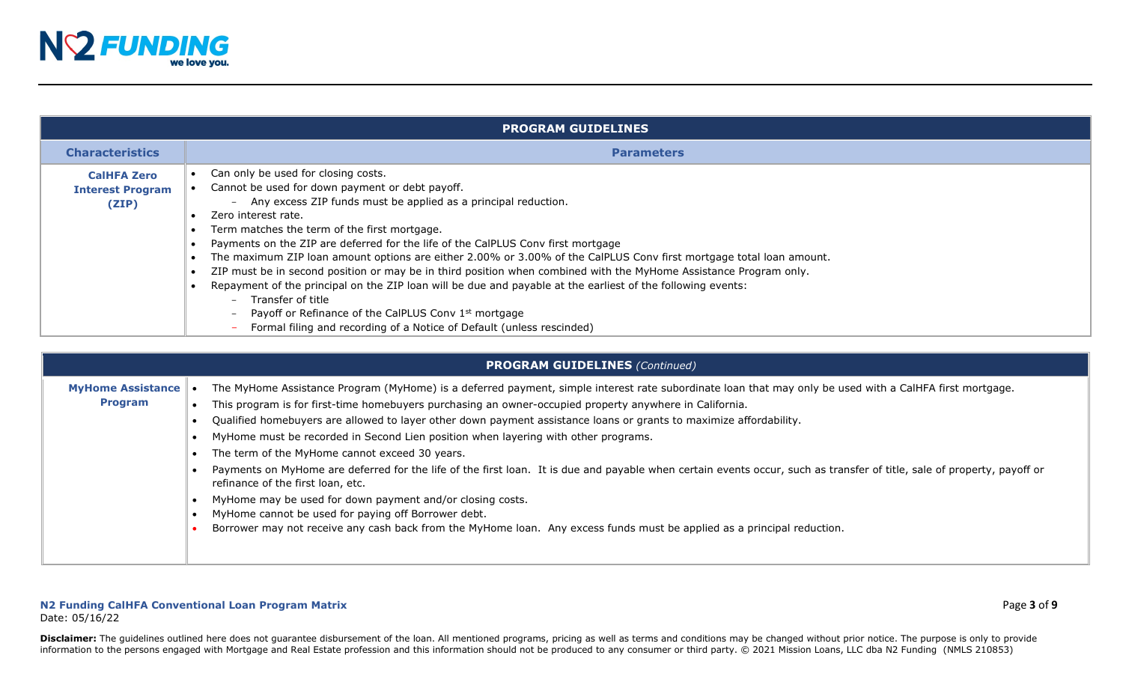

|                                                        | <b>PROGRAM GUIDELINES</b>                                                                                                                                                                                                                                                                                                                                                                                                                                                                                                                                                                                                                                                                                                                                                                                                                                                                |
|--------------------------------------------------------|------------------------------------------------------------------------------------------------------------------------------------------------------------------------------------------------------------------------------------------------------------------------------------------------------------------------------------------------------------------------------------------------------------------------------------------------------------------------------------------------------------------------------------------------------------------------------------------------------------------------------------------------------------------------------------------------------------------------------------------------------------------------------------------------------------------------------------------------------------------------------------------|
| <b>Characteristics</b>                                 | <b>Parameters</b>                                                                                                                                                                                                                                                                                                                                                                                                                                                                                                                                                                                                                                                                                                                                                                                                                                                                        |
| <b>CalHFA Zero</b><br><b>Interest Program</b><br>(ZIP) | Can only be used for closing costs.<br>Cannot be used for down payment or debt payoff.<br>- Any excess ZIP funds must be applied as a principal reduction.<br>Zero interest rate.<br>Term matches the term of the first mortgage.<br>Payments on the ZIP are deferred for the life of the CalPLUS Conv first mortgage<br>The maximum ZIP loan amount options are either 2.00% or 3.00% of the CalPLUS Conv first mortgage total loan amount.<br>ZIP must be in second position or may be in third position when combined with the MyHome Assistance Program only.<br>Repayment of the principal on the ZIP loan will be due and payable at the earliest of the following events:<br>Transfer of title<br>$\sim$<br>Payoff or Refinance of the CalPLUS Conv 1 <sup>st</sup> mortgage<br>$\overline{\phantom{0}}$<br>Formal filing and recording of a Notice of Default (unless rescinded) |

|                                            | <b>PROGRAM GUIDELINES (Continued)</b>                                                                                                                                                                                                                                                                                                                                                                                                                                                                                                                                                                                                                                                                                                                                                                                                                                                                                                                                                           |
|--------------------------------------------|-------------------------------------------------------------------------------------------------------------------------------------------------------------------------------------------------------------------------------------------------------------------------------------------------------------------------------------------------------------------------------------------------------------------------------------------------------------------------------------------------------------------------------------------------------------------------------------------------------------------------------------------------------------------------------------------------------------------------------------------------------------------------------------------------------------------------------------------------------------------------------------------------------------------------------------------------------------------------------------------------|
| <b>MyHome Assistance</b><br><b>Program</b> | The MyHome Assistance Program (MyHome) is a deferred payment, simple interest rate subordinate loan that may only be used with a CalHFA first mortgage.<br>This program is for first-time homebuyers purchasing an owner-occupied property anywhere in California.<br>Qualified homebuyers are allowed to layer other down payment assistance loans or grants to maximize affordability.<br>MyHome must be recorded in Second Lien position when layering with other programs.<br>The term of the MyHome cannot exceed 30 years.<br>Payments on MyHome are deferred for the life of the first loan. It is due and payable when certain events occur, such as transfer of title, sale of property, payoff or<br>refinance of the first loan, etc.<br>MyHome may be used for down payment and/or closing costs.<br>MyHome cannot be used for paying off Borrower debt.<br>Borrower may not receive any cash back from the MyHome Ioan. Any excess funds must be applied as a principal reduction. |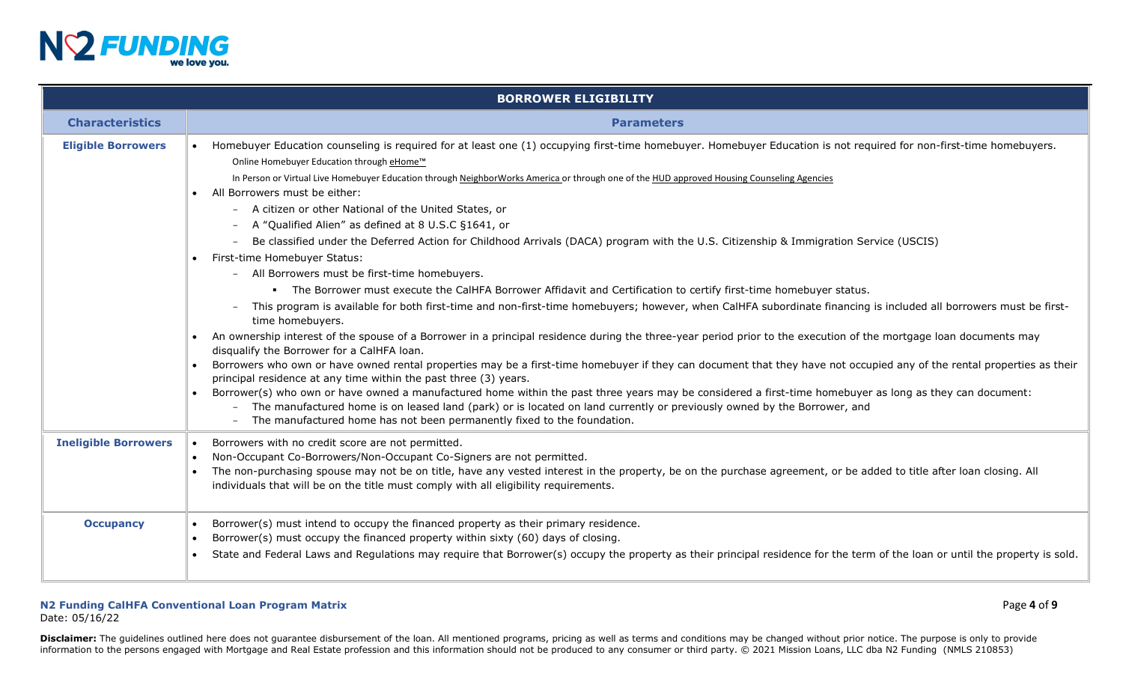

|                             | <b>BORROWER ELIGIBILITY</b>                                                                                                                                                                                                                                                                                                                                                                                                                                                                                                                                                                                                                                                                                                                                                                                                                                                                                                                                                                                                                                                                                                                                                                                                                                                                                                                                                                                                                                                                                                                                                                                                                                                                                                                                                                                                                                                                                                        |
|-----------------------------|------------------------------------------------------------------------------------------------------------------------------------------------------------------------------------------------------------------------------------------------------------------------------------------------------------------------------------------------------------------------------------------------------------------------------------------------------------------------------------------------------------------------------------------------------------------------------------------------------------------------------------------------------------------------------------------------------------------------------------------------------------------------------------------------------------------------------------------------------------------------------------------------------------------------------------------------------------------------------------------------------------------------------------------------------------------------------------------------------------------------------------------------------------------------------------------------------------------------------------------------------------------------------------------------------------------------------------------------------------------------------------------------------------------------------------------------------------------------------------------------------------------------------------------------------------------------------------------------------------------------------------------------------------------------------------------------------------------------------------------------------------------------------------------------------------------------------------------------------------------------------------------------------------------------------------|
| <b>Characteristics</b>      | <b>Parameters</b>                                                                                                                                                                                                                                                                                                                                                                                                                                                                                                                                                                                                                                                                                                                                                                                                                                                                                                                                                                                                                                                                                                                                                                                                                                                                                                                                                                                                                                                                                                                                                                                                                                                                                                                                                                                                                                                                                                                  |
| <b>Eligible Borrowers</b>   | • Homebuyer Education counseling is required for at least one (1) occupying first-time homebuyer. Homebuyer Education is not required for non-first-time homebuyers.<br>Online Homebuyer Education through eHome <sup>™</sup><br>In Person or Virtual Live Homebuyer Education through NeighborWorks America or through one of the HUD approved Housing Counseling Agencies<br>All Borrowers must be either:<br>- A citizen or other National of the United States, or<br>A "Qualified Alien" as defined at 8 U.S.C §1641, or<br>$\equiv$<br>Be classified under the Deferred Action for Childhood Arrivals (DACA) program with the U.S. Citizenship & Immigration Service (USCIS)<br>• First-time Homebuyer Status:<br>- All Borrowers must be first-time homebuyers.<br>. The Borrower must execute the CalHFA Borrower Affidavit and Certification to certify first-time homebuyer status.<br>This program is available for both first-time and non-first-time homebuyers; however, when CalHFA subordinate financing is included all borrowers must be first-<br>time homebuyers.<br>An ownership interest of the spouse of a Borrower in a principal residence during the three-year period prior to the execution of the mortgage loan documents may<br>disqualify the Borrower for a CalHFA loan.<br>Borrowers who own or have owned rental properties may be a first-time homebuyer if they can document that they have not occupied any of the rental properties as their<br>principal residence at any time within the past three (3) years.<br>Borrower(s) who own or have owned a manufactured home within the past three years may be considered a first-time homebuyer as long as they can document:<br>The manufactured home is on leased land (park) or is located on land currently or previously owned by the Borrower, and<br>The manufactured home has not been permanently fixed to the foundation.<br>$\sim$ |
| <b>Ineligible Borrowers</b> | Borrowers with no credit score are not permitted.<br>Non-Occupant Co-Borrowers/Non-Occupant Co-Signers are not permitted.<br>$\bullet$<br>The non-purchasing spouse may not be on title, have any vested interest in the property, be on the purchase agreement, or be added to title after loan closing. All<br>individuals that will be on the title must comply with all eligibility requirements.                                                                                                                                                                                                                                                                                                                                                                                                                                                                                                                                                                                                                                                                                                                                                                                                                                                                                                                                                                                                                                                                                                                                                                                                                                                                                                                                                                                                                                                                                                                              |
| <b>Occupancy</b>            | Borrower(s) must intend to occupy the financed property as their primary residence.<br>Borrower(s) must occupy the financed property within sixty (60) days of closing.<br>$\bullet$<br>State and Federal Laws and Regulations may require that Borrower(s) occupy the property as their principal residence for the term of the loan or until the property is sold.                                                                                                                                                                                                                                                                                                                                                                                                                                                                                                                                                                                                                                                                                                                                                                                                                                                                                                                                                                                                                                                                                                                                                                                                                                                                                                                                                                                                                                                                                                                                                               |

# **N2 Funding CalHFA Conventional Loan Program Matrix** Page **4** of **9**

Date: 05/16/22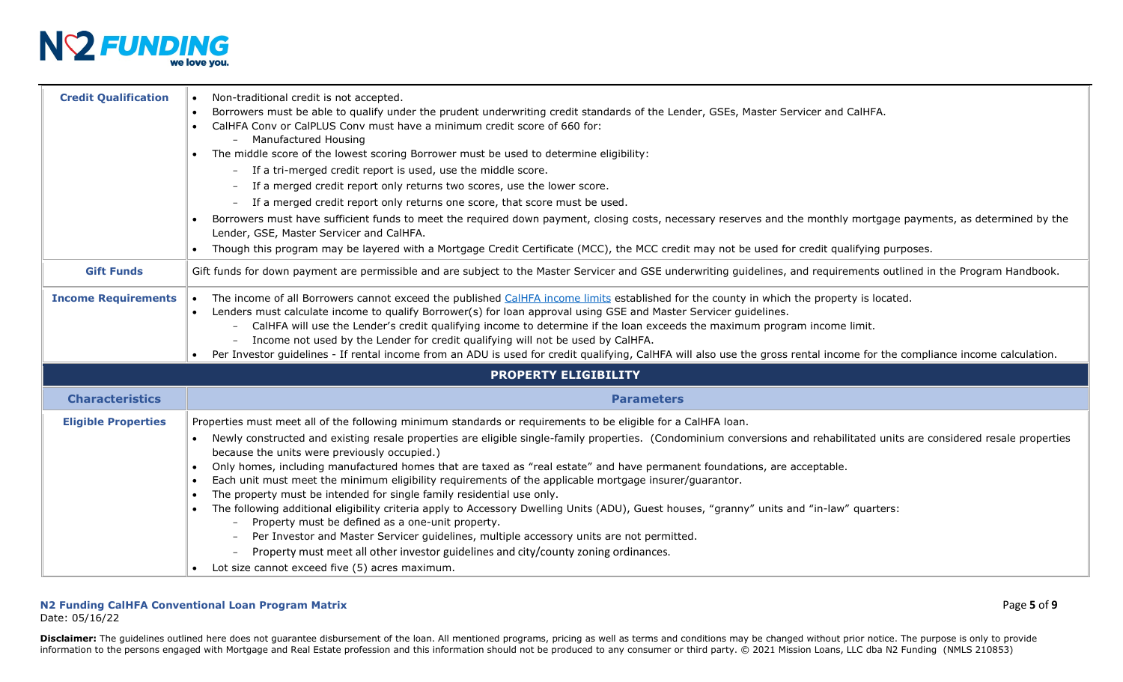

| <b>Credit Qualification</b> | Non-traditional credit is not accepted.<br>Borrowers must be able to qualify under the prudent underwriting credit standards of the Lender, GSEs, Master Servicer and CalHFA.<br>CalHFA Conv or CalPLUS Conv must have a minimum credit score of 660 for:<br>- Manufactured Housing<br>• The middle score of the lowest scoring Borrower must be used to determine eligibility:<br>- If a tri-merged credit report is used, use the middle score.<br>If a merged credit report only returns two scores, use the lower score.<br>If a merged credit report only returns one score, that score must be used.<br>Borrowers must have sufficient funds to meet the required down payment, closing costs, necessary reserves and the monthly mortgage payments, as determined by the<br>Lender, GSE, Master Servicer and CalHFA.<br>Though this program may be layered with a Mortgage Credit Certificate (MCC), the MCC credit may not be used for credit qualifying purposes.                                                                                                                                                 |
|-----------------------------|----------------------------------------------------------------------------------------------------------------------------------------------------------------------------------------------------------------------------------------------------------------------------------------------------------------------------------------------------------------------------------------------------------------------------------------------------------------------------------------------------------------------------------------------------------------------------------------------------------------------------------------------------------------------------------------------------------------------------------------------------------------------------------------------------------------------------------------------------------------------------------------------------------------------------------------------------------------------------------------------------------------------------------------------------------------------------------------------------------------------------|
| <b>Gift Funds</b>           | Gift funds for down payment are permissible and are subject to the Master Servicer and GSE underwriting guidelines, and requirements outlined in the Program Handbook.                                                                                                                                                                                                                                                                                                                                                                                                                                                                                                                                                                                                                                                                                                                                                                                                                                                                                                                                                     |
| <b>Income Requirements</b>  | The income of all Borrowers cannot exceed the published CalHFA income limits established for the county in which the property is located.<br>$\bullet$<br>Lenders must calculate income to qualify Borrower(s) for loan approval using GSE and Master Servicer guidelines.<br>CalHFA will use the Lender's credit qualifying income to determine if the loan exceeds the maximum program income limit.<br>- Income not used by the Lender for credit qualifying will not be used by CalHFA.<br>Per Investor guidelines - If rental income from an ADU is used for credit qualifying, CalHFA will also use the gross rental income for the compliance income calculation.                                                                                                                                                                                                                                                                                                                                                                                                                                                   |
|                             | <b>PROPERTY ELIGIBILITY</b>                                                                                                                                                                                                                                                                                                                                                                                                                                                                                                                                                                                                                                                                                                                                                                                                                                                                                                                                                                                                                                                                                                |
| <b>Characteristics</b>      | <b>Parameters</b>                                                                                                                                                                                                                                                                                                                                                                                                                                                                                                                                                                                                                                                                                                                                                                                                                                                                                                                                                                                                                                                                                                          |
| <b>Eligible Properties</b>  | Properties must meet all of the following minimum standards or requirements to be eligible for a CalHFA loan.<br>Newly constructed and existing resale properties are eligible single-family properties. (Condominium conversions and rehabilitated units are considered resale properties<br>$\bullet$<br>because the units were previously occupied.)<br>Only homes, including manufactured homes that are taxed as "real estate" and have permanent foundations, are acceptable.<br>Each unit must meet the minimum eligibility requirements of the applicable mortgage insurer/guarantor.<br>$\bullet$<br>The property must be intended for single family residential use only.<br>The following additional eligibility criteria apply to Accessory Dwelling Units (ADU), Guest houses, "granny" units and "in-law" quarters:<br>Property must be defined as a one-unit property.<br>Per Investor and Master Servicer guidelines, multiple accessory units are not permitted.<br>Property must meet all other investor guidelines and city/county zoning ordinances.<br>Lot size cannot exceed five (5) acres maximum. |

Date: 05/16/22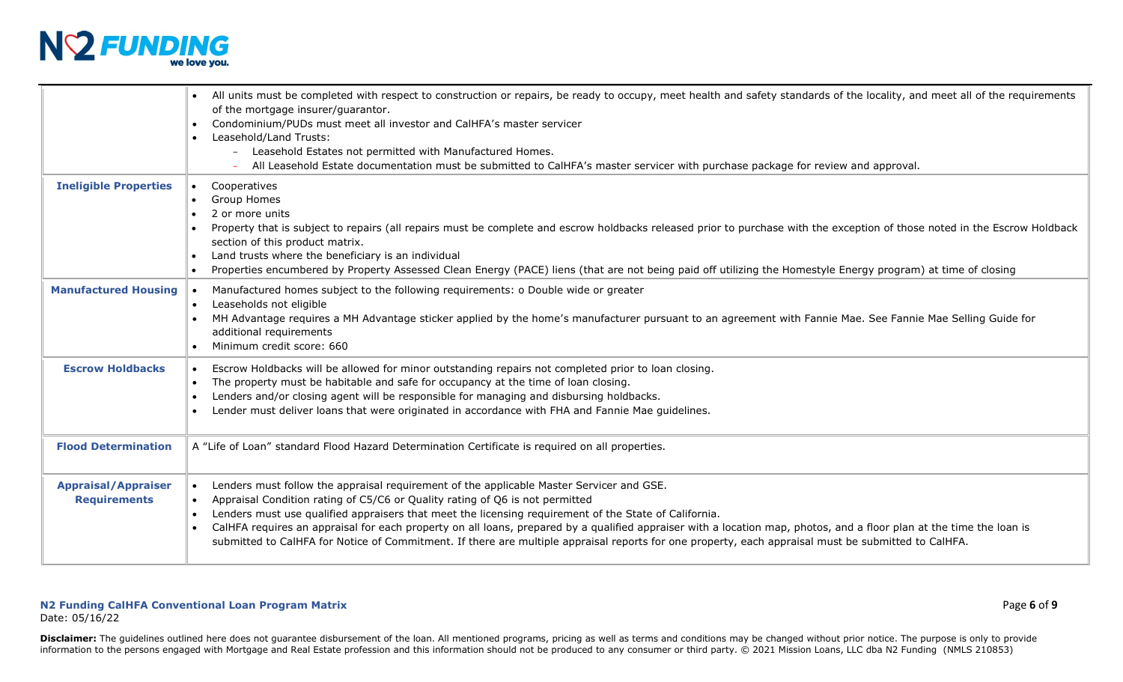

|                                                   | All units must be completed with respect to construction or repairs, be ready to occupy, meet health and safety standards of the locality, and meet all of the requirements<br>of the mortgage insurer/guarantor.<br>Condominium/PUDs must meet all investor and CalHFA's master servicer<br>Leasehold/Land Trusts:<br>$\bullet$<br>- Leasehold Estates not permitted with Manufactured Homes.<br>All Leasehold Estate documentation must be submitted to CalHFA's master servicer with purchase package for review and approval.                                                                                                          |
|---------------------------------------------------|--------------------------------------------------------------------------------------------------------------------------------------------------------------------------------------------------------------------------------------------------------------------------------------------------------------------------------------------------------------------------------------------------------------------------------------------------------------------------------------------------------------------------------------------------------------------------------------------------------------------------------------------|
| <b>Ineligible Properties</b>                      | Cooperatives<br>$\bullet$<br>Group Homes<br>2 or more units<br>Property that is subject to repairs (all repairs must be complete and escrow holdbacks released prior to purchase with the exception of those noted in the Escrow Holdback<br>section of this product matrix.<br>Land trusts where the beneficiary is an individual<br>$\bullet$<br>Properties encumbered by Property Assessed Clean Energy (PACE) liens (that are not being paid off utilizing the Homestyle Energy program) at time of closing                                                                                                                            |
| <b>Manufactured Housing</b>                       | Manufactured homes subject to the following requirements: o Double wide or greater<br>Leaseholds not eligible<br>$\bullet$<br>MH Advantage requires a MH Advantage sticker applied by the home's manufacturer pursuant to an agreement with Fannie Mae. See Fannie Mae Selling Guide for<br>additional requirements<br>Minimum credit score: 660<br>$\bullet$                                                                                                                                                                                                                                                                              |
| <b>Escrow Holdbacks</b>                           | Escrow Holdbacks will be allowed for minor outstanding repairs not completed prior to loan closing.<br>The property must be habitable and safe for occupancy at the time of loan closing.<br>Lenders and/or closing agent will be responsible for managing and disbursing holdbacks.<br>Lender must deliver loans that were originated in accordance with FHA and Fannie Mae guidelines.<br>$\bullet$                                                                                                                                                                                                                                      |
| <b>Flood Determination</b>                        | A "Life of Loan" standard Flood Hazard Determination Certificate is required on all properties.                                                                                                                                                                                                                                                                                                                                                                                                                                                                                                                                            |
| <b>Appraisal/Appraiser</b><br><b>Requirements</b> | Lenders must follow the appraisal requirement of the applicable Master Servicer and GSE.<br>$\bullet$<br>Appraisal Condition rating of C5/C6 or Quality rating of Q6 is not permitted<br>Lenders must use qualified appraisers that meet the licensing requirement of the State of California.<br>$\bullet$<br>CalHFA requires an appraisal for each property on all loans, prepared by a qualified appraiser with a location map, photos, and a floor plan at the time the loan is<br>submitted to CalHFA for Notice of Commitment. If there are multiple appraisal reports for one property, each appraisal must be submitted to CalHFA. |

#### **N2 Funding CalHFA Conventional Loan Program Matrix** Page **6** of **9** Date: 05/16/22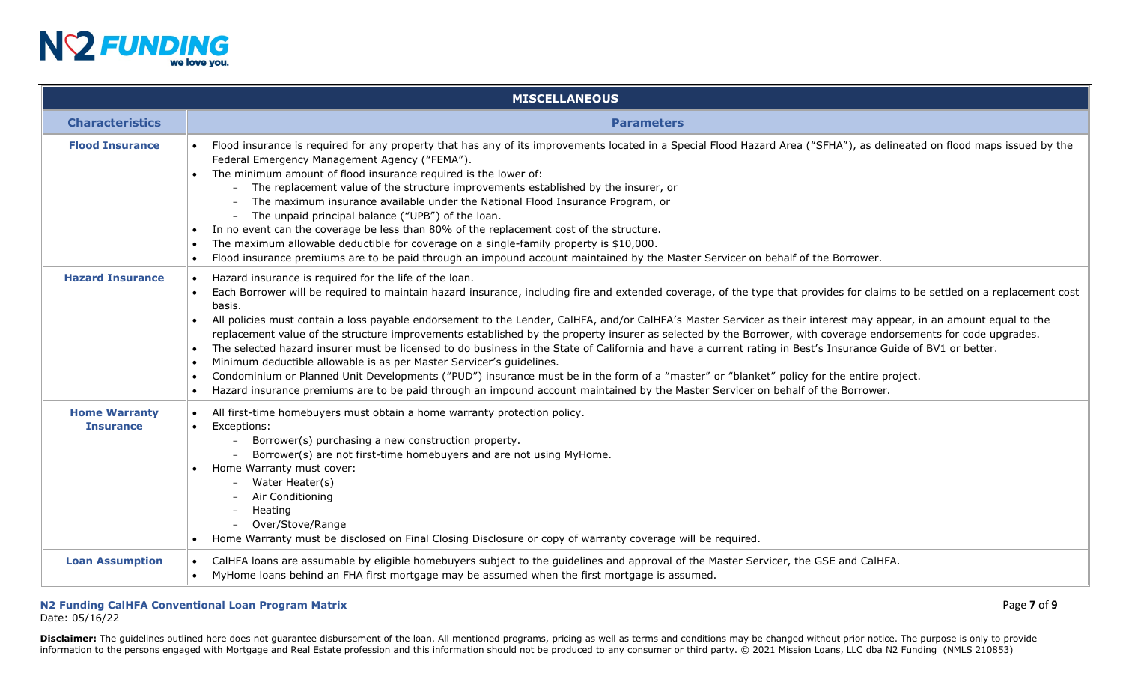

|                                          | <b>MISCELLANEOUS</b>                                                                                                                                                                                                                                                                                                                                                                                                                                                                                                                                                                                                                                                                                                                                                                                                                                                                                                                                                                                                                                                                                                                       |
|------------------------------------------|--------------------------------------------------------------------------------------------------------------------------------------------------------------------------------------------------------------------------------------------------------------------------------------------------------------------------------------------------------------------------------------------------------------------------------------------------------------------------------------------------------------------------------------------------------------------------------------------------------------------------------------------------------------------------------------------------------------------------------------------------------------------------------------------------------------------------------------------------------------------------------------------------------------------------------------------------------------------------------------------------------------------------------------------------------------------------------------------------------------------------------------------|
| <b>Characteristics</b>                   | <b>Parameters</b>                                                                                                                                                                                                                                                                                                                                                                                                                                                                                                                                                                                                                                                                                                                                                                                                                                                                                                                                                                                                                                                                                                                          |
| <b>Flood Insurance</b>                   | Flood insurance is required for any property that has any of its improvements located in a Special Flood Hazard Area ("SFHA"), as delineated on flood maps issued by the<br>Federal Emergency Management Agency ("FEMA").<br>The minimum amount of flood insurance required is the lower of:<br>$\bullet$<br>- The replacement value of the structure improvements established by the insurer, or<br>The maximum insurance available under the National Flood Insurance Program, or<br>- The unpaid principal balance ("UPB") of the loan.<br>In no event can the coverage be less than 80% of the replacement cost of the structure.<br>The maximum allowable deductible for coverage on a single-family property is \$10,000.<br>Flood insurance premiums are to be paid through an impound account maintained by the Master Servicer on behalf of the Borrower.                                                                                                                                                                                                                                                                         |
| <b>Hazard Insurance</b>                  | Hazard insurance is required for the life of the loan.<br>Each Borrower will be required to maintain hazard insurance, including fire and extended coverage, of the type that provides for claims to be settled on a replacement cost<br>basis.<br>All policies must contain a loss payable endorsement to the Lender, CalHFA, and/or CalHFA's Master Servicer as their interest may appear, in an amount equal to the<br>$\bullet$<br>replacement value of the structure improvements established by the property insurer as selected by the Borrower, with coverage endorsements for code upgrades.<br>The selected hazard insurer must be licensed to do business in the State of California and have a current rating in Best's Insurance Guide of BV1 or better.<br>$\bullet$<br>Minimum deductible allowable is as per Master Servicer's guidelines.<br>Condominium or Planned Unit Developments ("PUD") insurance must be in the form of a "master" or "blanket" policy for the entire project.<br>Hazard insurance premiums are to be paid through an impound account maintained by the Master Servicer on behalf of the Borrower. |
| <b>Home Warranty</b><br><b>Insurance</b> | All first-time homebuyers must obtain a home warranty protection policy.<br>$\bullet$<br>Exceptions:<br>$\bullet$<br>Borrower(s) purchasing a new construction property.<br>Borrower(s) are not first-time homebuyers and are not using MyHome.<br>Home Warranty must cover:<br>Water Heater(s)<br>Air Conditioning<br>Heating<br>Over/Stove/Range<br>Home Warranty must be disclosed on Final Closing Disclosure or copy of warranty coverage will be required.                                                                                                                                                                                                                                                                                                                                                                                                                                                                                                                                                                                                                                                                           |
| <b>Loan Assumption</b>                   | CalHFA loans are assumable by eligible homebuyers subject to the guidelines and approval of the Master Servicer, the GSE and CalHFA.<br>MyHome loans behind an FHA first mortgage may be assumed when the first mortgage is assumed.                                                                                                                                                                                                                                                                                                                                                                                                                                                                                                                                                                                                                                                                                                                                                                                                                                                                                                       |

## **N2 Funding CalHFA Conventional Loan Program Matrix** Page **7** of **9**

Date: 05/16/22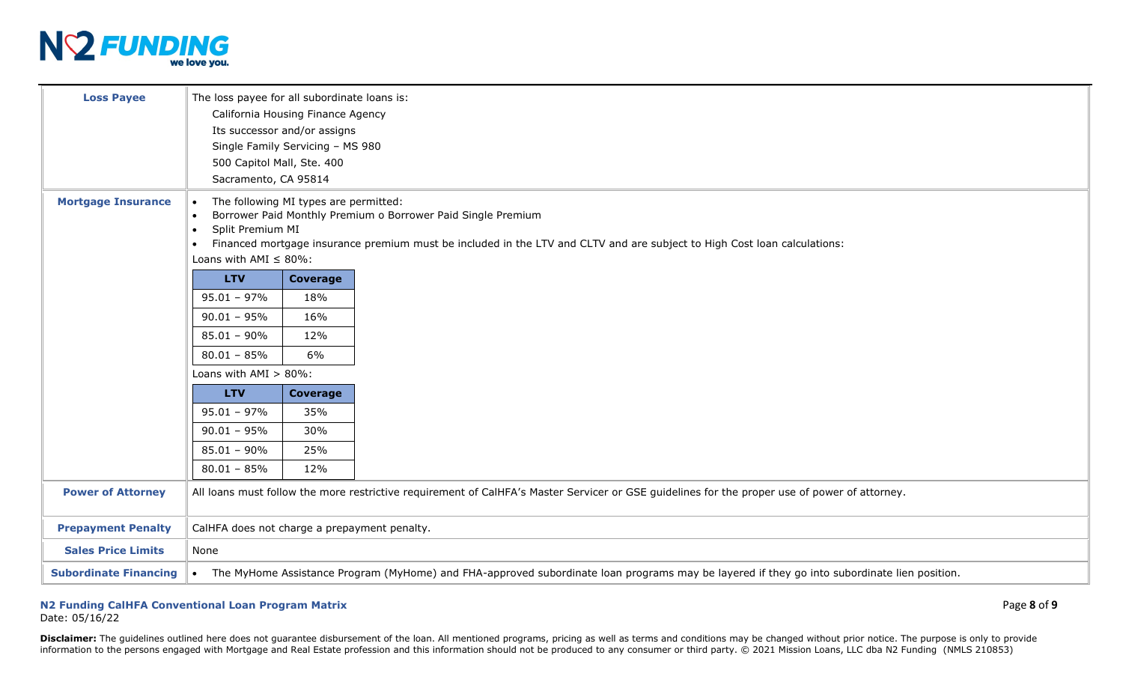

| <b>Loss Payee</b><br><b>Mortgage Insurance</b> |                                                                                                                                               | The loss payee for all subordinate loans is:<br>California Housing Finance Agency<br>Its successor and/or assigns<br>Single Family Servicing - MS 980<br>500 Capitol Mall, Ste. 400<br>Sacramento, CA 95814<br>The following MI types are permitted:<br>Borrower Paid Monthly Premium o Borrower Paid Single Premium |                                                                                                                                               |  |  |  |
|------------------------------------------------|-----------------------------------------------------------------------------------------------------------------------------------------------|----------------------------------------------------------------------------------------------------------------------------------------------------------------------------------------------------------------------------------------------------------------------------------------------------------------------|-----------------------------------------------------------------------------------------------------------------------------------------------|--|--|--|
|                                                | Split Premium MI<br>$\bullet$                                                                                                                 |                                                                                                                                                                                                                                                                                                                      | Financed mortgage insurance premium must be included in the LTV and CLTV and are subject to High Cost loan calculations:                      |  |  |  |
|                                                | Loans with AMI $\leq 80\%$ :                                                                                                                  |                                                                                                                                                                                                                                                                                                                      |                                                                                                                                               |  |  |  |
|                                                | <b>LTV</b>                                                                                                                                    | Coverage                                                                                                                                                                                                                                                                                                             |                                                                                                                                               |  |  |  |
|                                                | $95.01 - 97\%$                                                                                                                                | 18%                                                                                                                                                                                                                                                                                                                  |                                                                                                                                               |  |  |  |
|                                                | $90.01 - 95%$                                                                                                                                 | 16%                                                                                                                                                                                                                                                                                                                  |                                                                                                                                               |  |  |  |
|                                                | $85.01 - 90\%$                                                                                                                                | 12%                                                                                                                                                                                                                                                                                                                  |                                                                                                                                               |  |  |  |
|                                                | $80.01 - 85%$                                                                                                                                 | 6%                                                                                                                                                                                                                                                                                                                   |                                                                                                                                               |  |  |  |
|                                                | Loans with $AMI > 80\%$ :                                                                                                                     |                                                                                                                                                                                                                                                                                                                      |                                                                                                                                               |  |  |  |
|                                                | <b>LTV</b>                                                                                                                                    | Coverage                                                                                                                                                                                                                                                                                                             |                                                                                                                                               |  |  |  |
|                                                | $95.01 - 97\%$                                                                                                                                | 35%                                                                                                                                                                                                                                                                                                                  |                                                                                                                                               |  |  |  |
|                                                | $90.01 - 95%$                                                                                                                                 | 30%                                                                                                                                                                                                                                                                                                                  |                                                                                                                                               |  |  |  |
|                                                | $85.01 - 90\%$                                                                                                                                | 25%                                                                                                                                                                                                                                                                                                                  |                                                                                                                                               |  |  |  |
|                                                | $80.01 - 85%$                                                                                                                                 | 12%                                                                                                                                                                                                                                                                                                                  |                                                                                                                                               |  |  |  |
| <b>Power of Attorney</b>                       | All loans must follow the more restrictive requirement of CalHFA's Master Servicer or GSE guidelines for the proper use of power of attorney. |                                                                                                                                                                                                                                                                                                                      |                                                                                                                                               |  |  |  |
| <b>Prepayment Penalty</b>                      | CalHFA does not charge a prepayment penalty.                                                                                                  |                                                                                                                                                                                                                                                                                                                      |                                                                                                                                               |  |  |  |
| <b>Sales Price Limits</b>                      | None                                                                                                                                          |                                                                                                                                                                                                                                                                                                                      |                                                                                                                                               |  |  |  |
| <b>Subordinate Financing</b>                   |                                                                                                                                               |                                                                                                                                                                                                                                                                                                                      | • The MyHome Assistance Program (MyHome) and FHA-approved subordinate loan programs may be layered if they go into subordinate lien position. |  |  |  |

## **N2 Funding CalHFA Conventional Loan Program Matrix** Page **8** of **9**

Date: 05/16/22